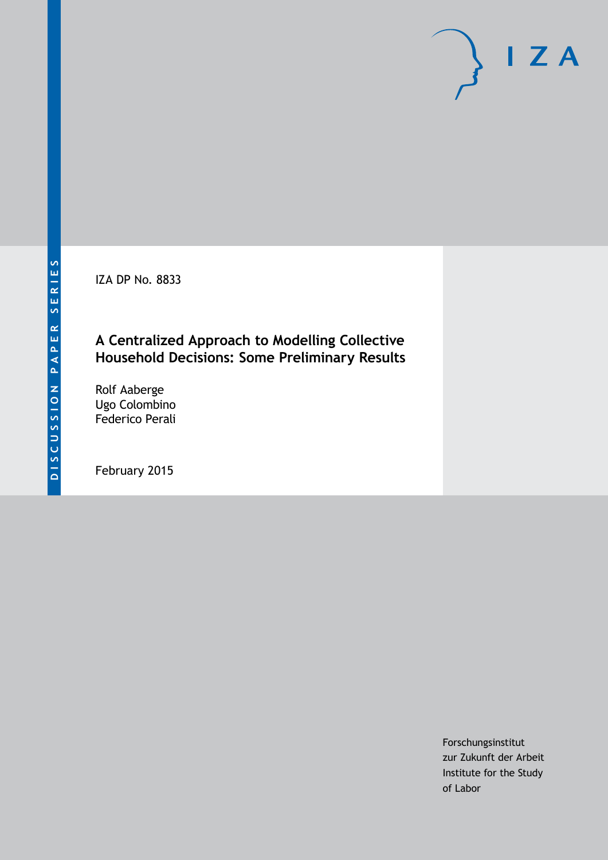IZA DP No. 8833

## **A Centralized Approach to Modelling Collective Household Decisions: Some Preliminary Results**

Rolf Aaberge Ugo Colombino Federico Perali

February 2015

Forschungsinstitut zur Zukunft der Arbeit Institute for the Study of Labor

 $I Z A$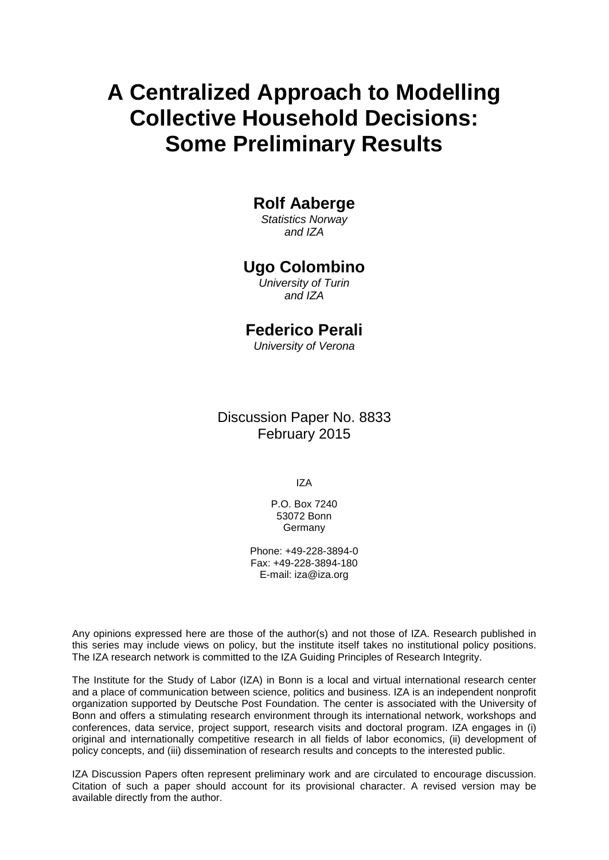# **A Centralized Approach to Modelling Collective Household Decisions: Some Preliminary Results**

### **Rolf Aaberge**

*Statistics Norway and IZA*

### **Ugo Colombino**

*University of Turin and IZA*

### **Federico Perali**

*University of Verona*

### Discussion Paper No. 8833 February 2015

IZA

P.O. Box 7240 53072 Bonn Germany

Phone: +49-228-3894-0 Fax: +49-228-3894-180 E-mail: [iza@iza.org](mailto:iza@iza.org)

Any opinions expressed here are those of the author(s) and not those of IZA. Research published in this series may include views on policy, but the institute itself takes no institutional policy positions. The IZA research network is committed to the IZA Guiding Principles of Research Integrity.

The Institute for the Study of Labor (IZA) in Bonn is a local and virtual international research center and a place of communication between science, politics and business. IZA is an independent nonprofit organization supported by Deutsche Post Foundation. The center is associated with the University of Bonn and offers a stimulating research environment through its international network, workshops and conferences, data service, project support, research visits and doctoral program. IZA engages in (i) original and internationally competitive research in all fields of labor economics, (ii) development of policy concepts, and (iii) dissemination of research results and concepts to the interested public.

IZA Discussion Papers often represent preliminary work and are circulated to encourage discussion. Citation of such a paper should account for its provisional character. A revised version may be available directly from the author.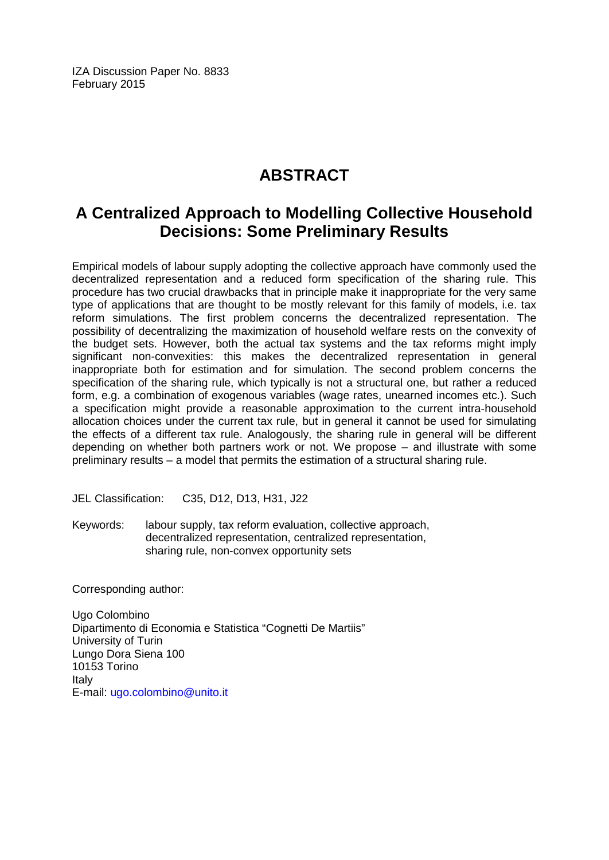IZA Discussion Paper No. 8833 February 2015

# **ABSTRACT**

# **A Centralized Approach to Modelling Collective Household Decisions: Some Preliminary Results**

Empirical models of labour supply adopting the collective approach have commonly used the decentralized representation and a reduced form specification of the sharing rule. This procedure has two crucial drawbacks that in principle make it inappropriate for the very same type of applications that are thought to be mostly relevant for this family of models, i.e. tax reform simulations. The first problem concerns the decentralized representation. The possibility of decentralizing the maximization of household welfare rests on the convexity of the budget sets. However, both the actual tax systems and the tax reforms might imply significant non-convexities: this makes the decentralized representation in general inappropriate both for estimation and for simulation. The second problem concerns the specification of the sharing rule, which typically is not a structural one, but rather a reduced form, e.g. a combination of exogenous variables (wage rates, unearned incomes etc.). Such a specification might provide a reasonable approximation to the current intra-household allocation choices under the current tax rule, but in general it cannot be used for simulating the effects of a different tax rule. Analogously, the sharing rule in general will be different depending on whether both partners work or not. We propose – and illustrate with some preliminary results – a model that permits the estimation of a structural sharing rule.

JEL Classification: C35, D12, D13, H31, J22

Keywords: labour supply, tax reform evaluation, collective approach, decentralized representation, centralized representation, sharing rule, non-convex opportunity sets

Corresponding author:

Ugo Colombino Dipartimento di Economia e Statistica "Cognetti De Martiis" University of Turin Lungo Dora Siena 100 10153 Torino Italy E-mail: [ugo.colombino@unito.it](mailto:ugo.colombino@unito.it)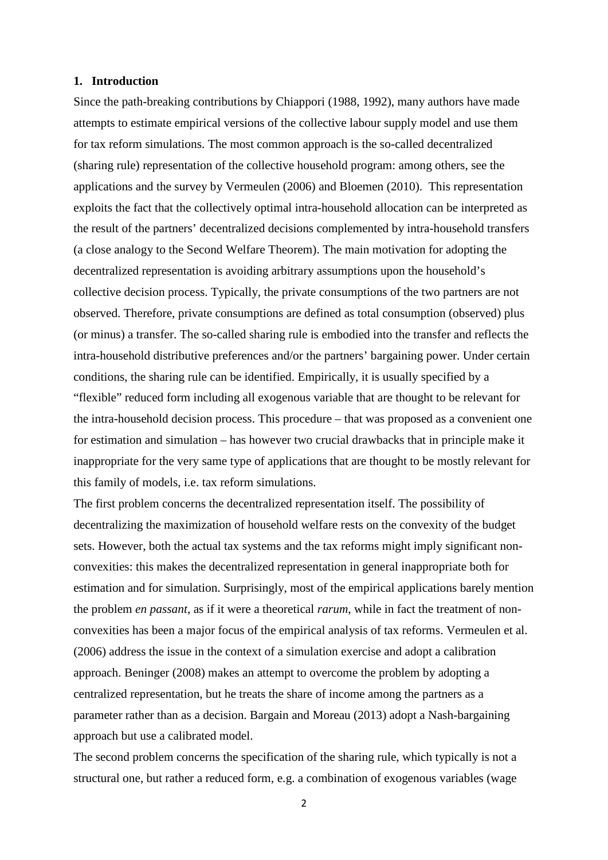#### **1. Introduction**

Since the path-breaking contributions by Chiappori (1988, 1992), many authors have made attempts to estimate empirical versions of the collective labour supply model and use them for tax reform simulations. The most common approach is the so-called decentralized (sharing rule) representation of the collective household program: among others, see the applications and the survey by Vermeulen (2006) and Bloemen (2010). This representation exploits the fact that the collectively optimal intra-household allocation can be interpreted as the result of the partners' decentralized decisions complemented by intra-household transfers (a close analogy to the Second Welfare Theorem). The main motivation for adopting the decentralized representation is avoiding arbitrary assumptions upon the household's collective decision process. Typically, the private consumptions of the two partners are not observed. Therefore, private consumptions are defined as total consumption (observed) plus (or minus) a transfer. The so-called sharing rule is embodied into the transfer and reflects the intra-household distributive preferences and/or the partners' bargaining power. Under certain conditions, the sharing rule can be identified. Empirically, it is usually specified by a "flexible" reduced form including all exogenous variable that are thought to be relevant for the intra-household decision process. This procedure – that was proposed as a convenient one for estimation and simulation – has however two crucial drawbacks that in principle make it inappropriate for the very same type of applications that are thought to be mostly relevant for this family of models, i.e. tax reform simulations.

The first problem concerns the decentralized representation itself. The possibility of decentralizing the maximization of household welfare rests on the convexity of the budget sets. However, both the actual tax systems and the tax reforms might imply significant nonconvexities: this makes the decentralized representation in general inappropriate both for estimation and for simulation. Surprisingly, most of the empirical applications barely mention the problem *en passant*, as if it were a theoretical *rarum*, while in fact the treatment of nonconvexities has been a major focus of the empirical analysis of tax reforms. Vermeulen et al. (2006) address the issue in the context of a simulation exercise and adopt a calibration approach. Beninger (2008) makes an attempt to overcome the problem by adopting a centralized representation, but he treats the share of income among the partners as a parameter rather than as a decision. Bargain and Moreau (2013) adopt a Nash-bargaining approach but use a calibrated model.

The second problem concerns the specification of the sharing rule, which typically is not a structural one, but rather a reduced form, e.g. a combination of exogenous variables (wage

2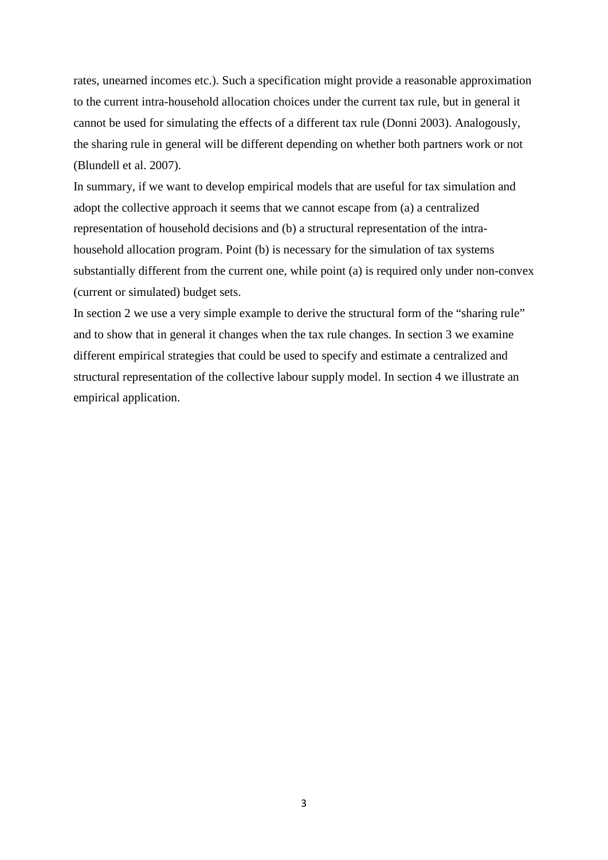rates, unearned incomes etc.). Such a specification might provide a reasonable approximation to the current intra-household allocation choices under the current tax rule, but in general it cannot be used for simulating the effects of a different tax rule (Donni 2003). Analogously, the sharing rule in general will be different depending on whether both partners work or not (Blundell et al. 2007).

In summary, if we want to develop empirical models that are useful for tax simulation and adopt the collective approach it seems that we cannot escape from (a) a centralized representation of household decisions and (b) a structural representation of the intrahousehold allocation program. Point (b) is necessary for the simulation of tax systems substantially different from the current one, while point (a) is required only under non-convex (current or simulated) budget sets.

In section 2 we use a very simple example to derive the structural form of the "sharing rule" and to show that in general it changes when the tax rule changes. In section 3 we examine different empirical strategies that could be used to specify and estimate a centralized and structural representation of the collective labour supply model. In section 4 we illustrate an empirical application.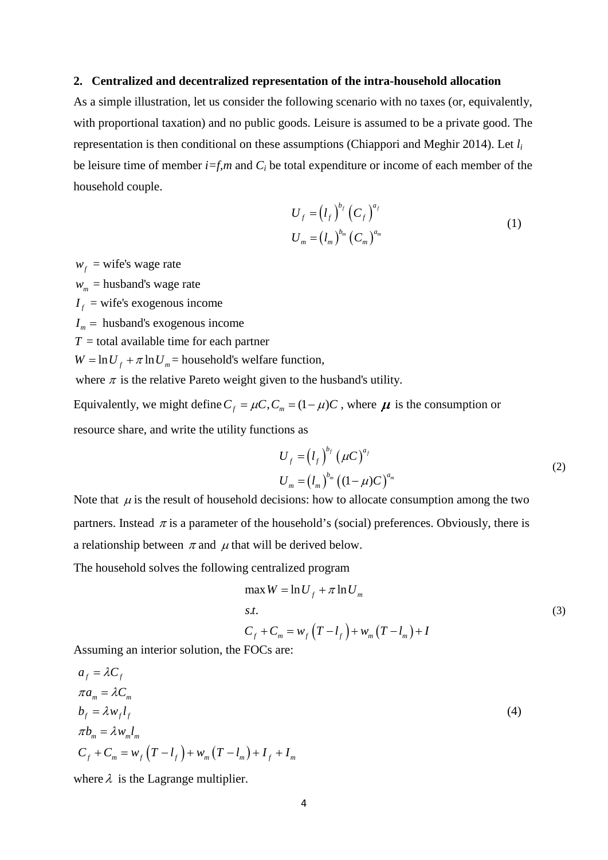#### **2. Centralized and decentralized representation of the intra-household allocation**

As a simple illustration, let us consider the following scenario with no taxes (or, equivalently, with proportional taxation) and no public goods. Leisure is assumed to be a private good. The representation is then conditional on these assumptions (Chiappori and Meghir 2014). Let *li* be leisure time of member  $i=f$ , m and  $C_i$  be total expenditure or income of each member of the household couple.

$$
U_{f} = (l_{f})^{b_{f}} (C_{f})^{a_{f}}
$$
  
\n
$$
U_{m} = (l_{m})^{b_{m}} (C_{m})^{a_{m}}
$$
\n(1)

 $w_f$  = wife's wage rate

= husband's wage rate *m w*

 $I_f$  = wife's exogenous income

 $I_m$  = husband's exogenous income

 $T =$  total available time for each partner

 $W = \ln U_f + \pi \ln U_m$  = household's welfare function,

where  $\pi$  is the relative Pareto weight given to the husband's utility.

Equivalently, we might define  $C_f = \mu C$ ,  $C_m = (1 - \mu)C$ , where  $\mu$  is the consumption or resource share, and write the utility functions as

$$
U_{f} = (l_{f})^{b_{f}} (\mu C)^{a_{f}}
$$
  
\n
$$
U_{m} = (l_{m})^{b_{m}} ((1 - \mu)C)^{a_{m}}
$$
\n(2)

Note that  $\mu$  is the result of household decisions: how to allocate consumption among the two partners. Instead  $\pi$  is a parameter of the household's (social) preferences. Obviously, there is a relationship between  $\pi$  and  $\mu$  that will be derived below.

The household solves the following centralized program

$$
\max W = \ln U_f + \pi \ln U_m
$$
  
s.t.  

$$
C_f + C_m = w_f \left( T - l_f \right) + w_m \left( T - l_m \right) + I
$$
  
BCGs are: (3)

Assuming an interior solution, the FOCs are:

$$
a_f = \lambda C_f
$$
  
\n
$$
\pi a_m = \lambda C_m
$$
  
\n
$$
b_f = \lambda w_f l_f
$$
  
\n
$$
\pi b_m = \lambda w_m l_m
$$
  
\n
$$
C_f + C_m = w_f (T - l_f) + w_m (T - l_m) + I_f + I_m
$$
\n(4)

where  $\lambda$  is the Lagrange multiplier.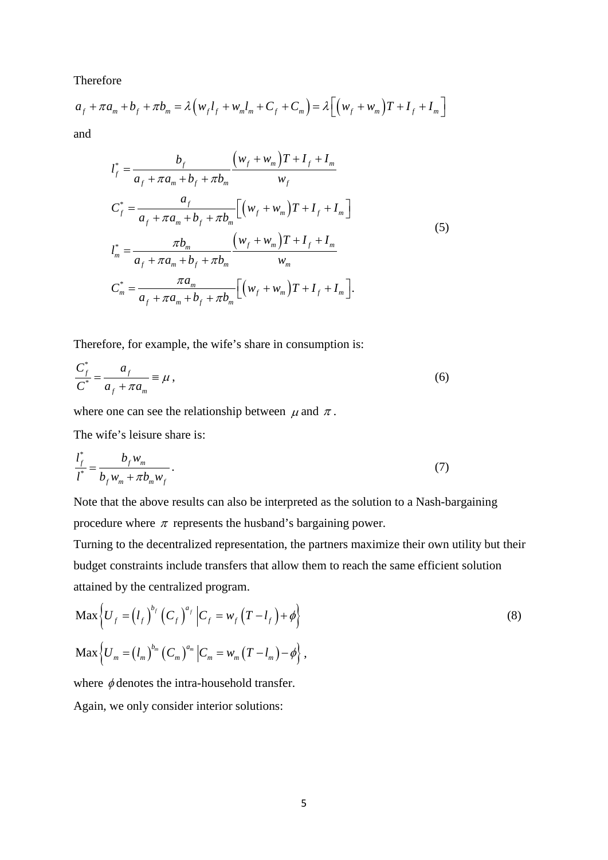Therefore

$$
a_f + \pi a_m + b_f + \pi b_m = \lambda \left( w_f l_f + w_m l_m + C_f + C_m \right) = \lambda \left[ \left( w_f + w_m \right) T + I_f + I_m \right]
$$

and

$$
l_f^* = \frac{b_f}{a_f + \pi a_m + b_f + \pi b_m} \frac{(w_f + w_m)T + I_f + I_m}{w_f}
$$
  
\n
$$
C_f^* = \frac{a_f}{a_f + \pi a_m + b_f + \pi b_m} \Big[ (w_f + w_m)T + I_f + I_m \Big]
$$
  
\n
$$
l_m^* = \frac{\pi b_m}{a_f + \pi a_m + b_f + \pi b_m} \frac{(w_f + w_m)T + I_f + I_m}{w_m}
$$
  
\n
$$
C_m^* = \frac{\pi a_m}{a_f + \pi a_m + b_f + \pi b_m} \Big[ (w_f + w_m)T + I_f + I_m \Big].
$$
  
\n(5)

Therefore, for example, the wife's share in consumption is:

$$
\frac{C_f^*}{C^*} = \frac{a_f}{a_f + \pi a_m} \equiv \mu \,,\tag{6}
$$

where one can see the relationship between  $\mu$  and  $\pi$ .

The wife's leisure share is:

$$
\frac{l_f^*}{l^*} = \frac{b_f w_m}{b_f w_m + \pi b_m w_f}.
$$
\n(7)

Note that the above results can also be interpreted as the solution to a Nash-bargaining procedure where  $\pi$  represents the husband's bargaining power.

Turning to the decentralized representation, the partners maximize their own utility but their budget constraints include transfers that allow them to reach the same efficient solution attained by the centralized program.

$$
\text{Max}\left\{U_{f} = (l_{f})^{b_{f}}(C_{f})^{a_{f}} | C_{f} = w_{f}(T - l_{f}) + \phi\right\}
$$
\n
$$
\text{Max}\left\{U_{m} = (l_{m})^{b_{m}}(C_{m})^{a_{m}} | C_{m} = w_{m}(T - l_{m}) - \phi\right\},\tag{8}
$$

where  $\phi$  denotes the intra-household transfer.

Again, we only consider interior solutions: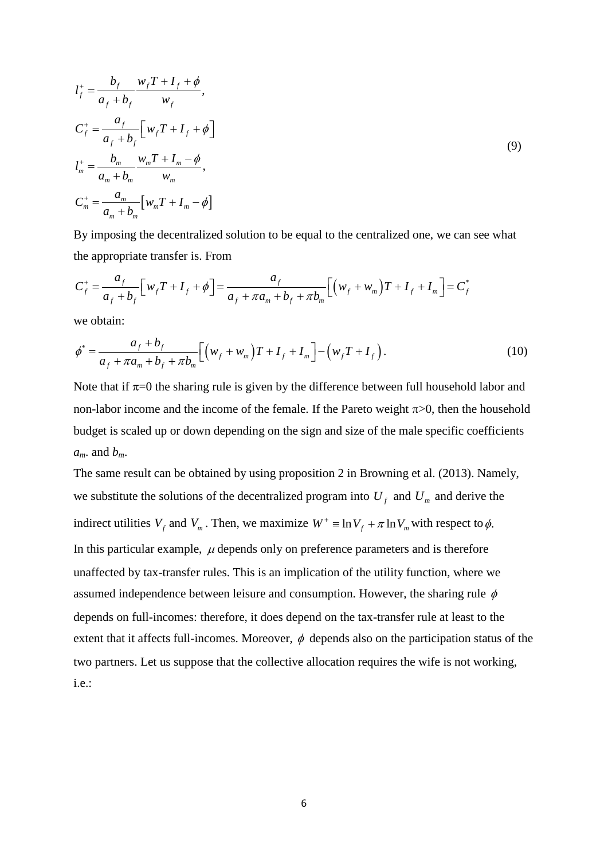$$
l_f^+ = \frac{b_f}{a_f + b_f} \frac{w_f T + I_f + \phi}{w_f},
$$
  
\n
$$
C_f^+ = \frac{a_f}{a_f + b_f} \left[ w_f T + I_f + \phi \right]
$$
  
\n
$$
l_m^+ = \frac{b_m}{a_m + b_m} \frac{w_m T + I_m - \phi}{w_m},
$$
  
\n
$$
C_m^+ = \frac{a_m}{a_m + b_m} \left[ w_m T + I_m - \phi \right]
$$
\n(9)

By imposing the decentralized solution to be equal to the centralized one, we can see what the appropriate transfer is. From

$$
C_f^+ = \frac{a_f}{a_f + b_f} \Big[ w_f T + I_f + \phi \Big] = \frac{a_f}{a_f + \pi a_m + b_f + \pi b_m} \Big[ \Big( w_f + w_m \Big) T + I_f + I_m \Big] = C_f^*
$$

we obtain:

$$
\phi^* = \frac{a_f + b_f}{a_f + \pi a_m + b_f + \pi b_m} \Big[ \Big( w_f + w_m \Big) T + I_f + I_m \Big] - \Big( w_f T + I_f \Big). \tag{10}
$$

Note that if  $\pi=0$  the sharing rule is given by the difference between full household labor and non-labor income and the income of the female. If the Pareto weight  $\pi$ >0, then the household budget is scaled up or down depending on the sign and size of the male specific coefficients  $a_m$ . and  $b_m$ .

The same result can be obtained by using proposition 2 in Browning et al. (2013). Namely, we substitute the solutions of the decentralized program into  $U_f$  and  $U_m$  and derive the indirect utilities  $V_f$  and  $V_m$ . Then, we maximize  $W^+ \equiv \ln V_f + \pi \ln V_m$  with respect to  $\phi$ . In this particular example,  $\mu$  depends only on preference parameters and is therefore unaffected by tax-transfer rules. This is an implication of the utility function, where we assumed independence between leisure and consumption. However, the sharing rule  $\phi$ depends on full-incomes: therefore, it does depend on the tax-transfer rule at least to the extent that it affects full-incomes. Moreover,  $\phi$  depends also on the participation status of the two partners. Let us suppose that the collective allocation requires the wife is not working, i.e.: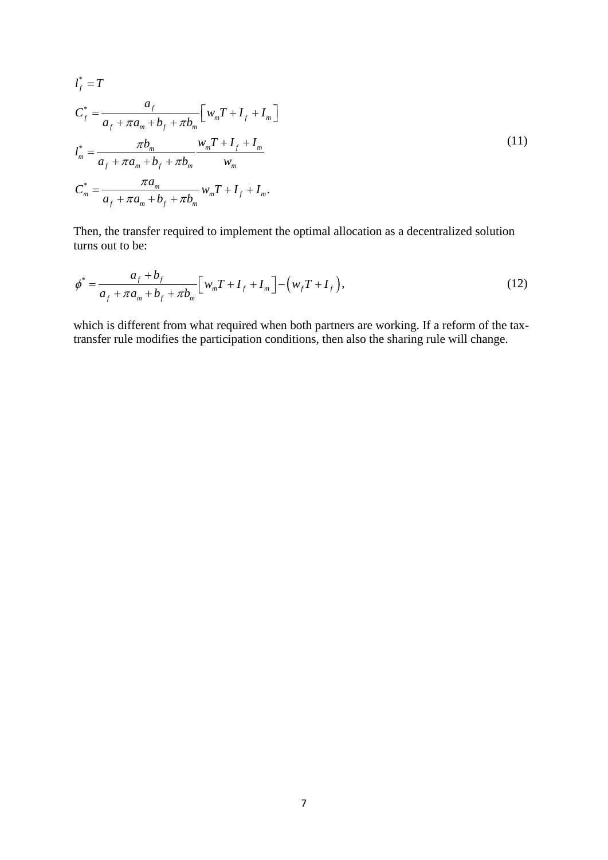$$
l_f^* = T
$$
  
\n
$$
C_f^* = \frac{a_f}{a_f + \pi a_m + b_f + \pi b_m} \left[ w_m T + I_f + I_m \right]
$$
  
\n
$$
l_m^* = \frac{\pi b_m}{a_f + \pi a_m + b_f + \pi b_m} \frac{w_m T + I_f + I_m}{w_m}
$$
  
\n
$$
C_m^* = \frac{\pi a_m}{a_f + \pi a_m + b_f + \pi b_m} w_m T + I_f + I_m.
$$
\n(11)

Then, the transfer required to implement the optimal allocation as a decentralized solution turns out to be:

$$
\phi^* = \frac{a_f + b_f}{a_f + \pi a_m + b_f + \pi b_m} \Big[ w_m T + I_f + I_m \Big] - \Big( w_f T + I_f \Big), \tag{12}
$$

which is different from what required when both partners are working. If a reform of the taxtransfer rule modifies the participation conditions, then also the sharing rule will change.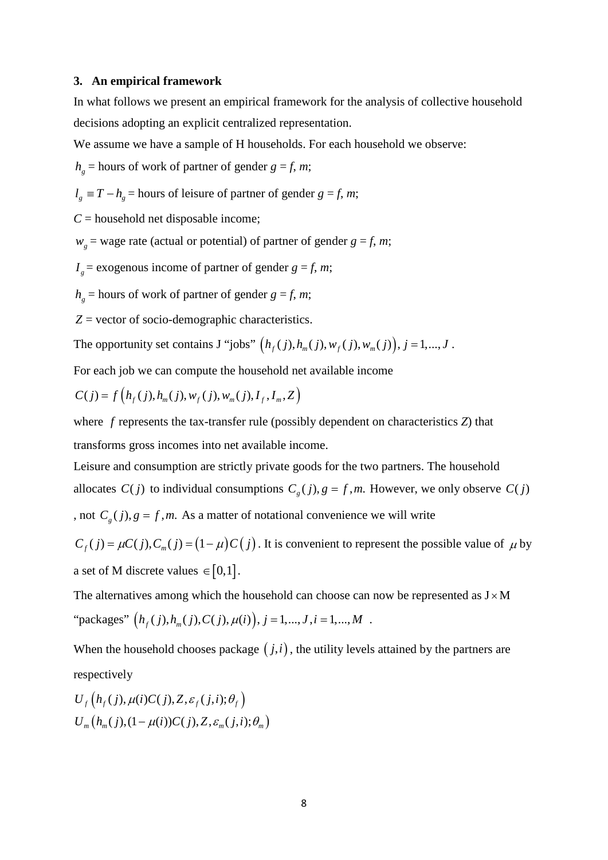#### **3. An empirical framework**

In what follows we present an empirical framework for the analysis of collective household decisions adopting an explicit centralized representation.

We assume we have a sample of H households. For each household we observe:

 $h_e$  = hours of work of partner of gender  $g = f$ , *m*;

 $l_g \equiv T - h_g$  = hours of leisure of partner of gender  $g = f$ , *m*;

 $C =$  household net disposable income;

 $w<sub>g</sub>$  = wage rate (actual or potential) of partner of gender  $g = f, m$ ;

 $I<sub>g</sub>$  = exogenous income of partner of gender  $g = f$ , *m*;

 $h<sub>g</sub>$  = hours of work of partner of gender  $g = f$ , *m*;

*Z* = vector of socio-demographic characteristics.

The opportunity set contains J "jobs"  $(h_f(j), h_m(j), w_f(j), w_m(j))$ ,  $j = 1,..., J$ .

For each job we can compute the household net available income

 $C(j) = f(h_f(j), h_m(j), w_f(j), w_m(j), I_f, I_m, Z)$ 

where *f* represents the tax-transfer rule (possibly dependent on characteristics *Z*) that transforms gross incomes into net available income.

Leisure and consumption are strictly private goods for the two partners. The household allocates  $C(j)$  to individual consumptions  $C_g(j), g = f, m$ . However, we only observe  $C(j)$ 

, not  $C_{\rho}(j)$ ,  $g = f, m$ . As a matter of notational convenience we will write

 $C_f(j) = \mu C(j), C_m(j) = (1 - \mu)C(j)$ . It is convenient to represent the possible value of  $\mu$  by a set of M discrete values  $\in [0,1]$ .

The alternatives among which the household can choose can now be represented as  $J \times M$ "packages"  $(h_i(j), h_m(j), C(j), \mu(i)), j = 1, ..., J, i = 1, ..., M$ .

When the household chooses package  $(j,i)$ , the utility levels attained by the partners are respectively

$$
U_f\left(h_f(j), \mu(i)C(j), Z, \varepsilon_f(j,i); \theta_f\right)
$$
  

$$
U_m\left(h_m(j), (1-\mu(i))C(j), Z, \varepsilon_m(j,i); \theta_m\right)
$$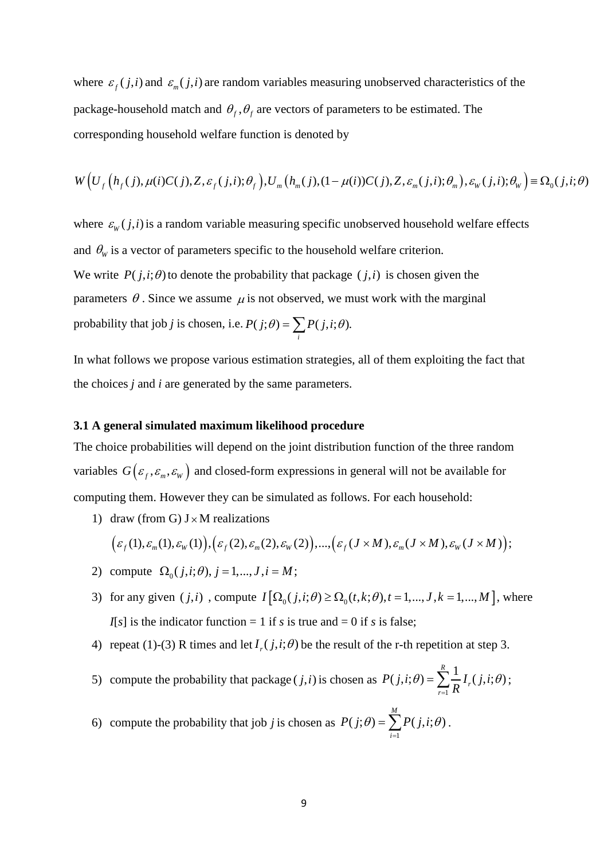where  $\varepsilon_f(j, i)$  and  $\varepsilon_m(j, i)$  are random variables measuring unobserved characteristics of the package-household match and  $\theta_f$ ,  $\theta_f$  are vectors of parameters to be estimated. The corresponding household welfare function is denoted by

$$
W\Big(U_f\Big(h_f(j),\mu(i)C(j),Z,\varepsilon_f(j,i);\theta_f\Big), U_m\Big(h_m(j),(1-\mu(i))C(j),Z,\varepsilon_m(j,i);\theta_m\Big), \varepsilon_W(j,i);\theta_W\Big) \equiv \Omega_0(j,i;\theta)
$$

where  $\varepsilon_w(j, i)$  is a random variable measuring specific unobserved household welfare effects and  $\theta_w$  is a vector of parameters specific to the household welfare criterion. We write  $P(j, i; \theta)$  to denote the probability that package  $(j, i)$  is chosen given the parameters  $\theta$ . Since we assume  $\mu$  is not observed, we must work with the marginal probability that job *j* is chosen, i.e.  $P(j; \theta) = \sum P(j, i; \theta)$ .  $P(j; \theta) = \sum_i P(j, i; \theta)$ 

In what follows we propose various estimation strategies, all of them exploiting the fact that the choices *j* and *i* are generated by the same parameters.

#### **3.1 A general simulated maximum likelihood procedure**

The choice probabilities will depend on the joint distribution function of the three random variables  $G(\varepsilon_f, \varepsilon_m, \varepsilon_w)$  and closed-form expressions in general will not be available for computing them. However they can be simulated as follows. For each household:

1) draw (from G)  $J \times M$  realizations

$$
\Big(\varepsilon_{f}(1),\varepsilon_{m}(1),\varepsilon_{w}(1)\Big),\Big(\varepsilon_{f}(2),\varepsilon_{m}(2),\varepsilon_{w}(2)\Big),...,\Big(\varepsilon_{f}(J\times M),\varepsilon_{m}(J\times M),\varepsilon_{w}(J\times M)\Big);
$$

- 2) compute  $\Omega_0(j, i; \theta), j = 1, ..., J, i = M$ ;
- 3) for any given  $(j, i)$ , compute  $I[\Omega_0(j, i; \theta) \ge \Omega_0(t, k; \theta), t = 1, ..., J, k = 1, ..., M]$ , where *I*[ $s$ ] is the indicator function = 1 if *s* is true and = 0 if *s* is false;
- 4) repeat (1)-(3) R times and let  $I_r(j, i; \theta)$  be the result of the r-th repetition at step 3.
- 5) compute the probability that package  $(j,i)$  is chosen as 1  $(j, i; \theta) = \sum_{r=1}^{R} I_r(j, i; \theta)$ *r*  $P(j, i; \theta) = \sum_{r=1}^{n} \frac{1}{R} I_r(j, i; \theta)$  $=\sum_{r=1}^{1}\frac{I}{R}I_{r}(j,i;\theta);$
- 6) compute the probability that job  $j$  is chosen as 1  $(j; \theta) = \sum P(j, i; \theta)$ *M i*  $P(j; \theta) = \sum P(j, i; \theta)$  $=\sum_{i=1}P(j,i;\theta)$  .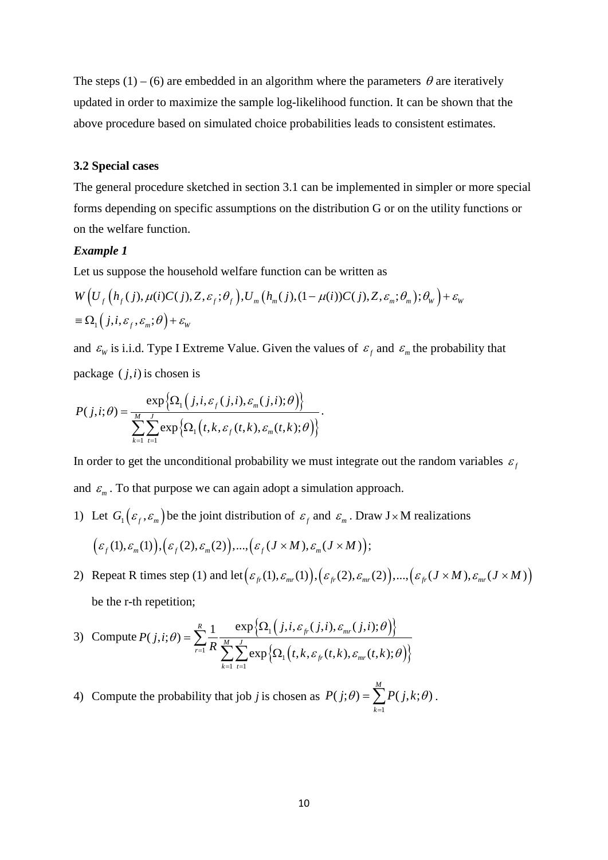The steps (1) – (6) are embedded in an algorithm where the parameters  $\theta$  are iteratively updated in order to maximize the sample log-likelihood function. It can be shown that the above procedure based on simulated choice probabilities leads to consistent estimates.

#### **3.2 Special cases**

The general procedure sketched in section 3.1 can be implemented in simpler or more special forms depending on specific assumptions on the distribution G or on the utility functions or on the welfare function.

#### *Example 1*

Let us suppose the household welfare function can be written as

$$
W\Big(U_f\Big(h_f(j),\mu(i)C(j),Z,\varepsilon_f;\theta_f\Big),U_m\Big(h_m(j),(1-\mu(i))C(j),Z,\varepsilon_m;\theta_m\Big);\theta_W\Big)+\varepsilon_W
$$
  

$$
\equiv\Omega_1\Big(j,i,\varepsilon_f,\varepsilon_m;\theta\Big)+\varepsilon_W
$$

and  $\varepsilon_w$  is i.i.d. Type I Extreme Value. Given the values of  $\varepsilon_f$  and  $\varepsilon_m$  the probability that package  $(j, i)$  is chosen is

$$
P(j,i;\theta) = \frac{\exp\left\{\Omega_{1}\left(j,i,\varepsilon_{f}(j,i),\varepsilon_{m}(j,i);\theta\right)\right\}}{\sum_{k=1}^{M} \sum_{t=1}^{J} \exp\left\{\Omega_{1}\left(t,k,\varepsilon_{f}(t,k),\varepsilon_{m}(t,k);\theta\right)\right\}}.
$$

In order to get the unconditional probability we must integrate out the random variables  $\varepsilon$ <sub>f</sub>

and  $\varepsilon_m$ . To that purpose we can again adopt a simulation approach.

1) Let  $G_1(\varepsilon_f, \varepsilon_m)$  be the joint distribution of  $\varepsilon_f$  and  $\varepsilon_m$ . Draw J × M realizations

$$
\Big(\varepsilon_f(1),\varepsilon_m(1)\Big),\Big(\varepsilon_f(2),\varepsilon_m(2)\Big),...,\Big(\varepsilon_f(J\times M),\varepsilon_m(J\times M)\Big);
$$

2) Repeat R times step (1) and let  $(\varepsilon_{f}(1), \varepsilon_{mr}(1)), (\varepsilon_{f}(2), \varepsilon_{mr}(2)), ..., (\varepsilon_{f}(J \times M), \varepsilon_{mr}(J \times M))$ be the r-th repetition;

3) Compute 
$$
P(j, i; \theta) = \sum_{r=1}^{R} \frac{1}{R} \frac{\exp\left\{\Omega_{1}\left(j, i, \varepsilon_{f}, (j, i), \varepsilon_{mr}(j, i); \theta\right)\right\}}{\sum_{k=1}^{M} \sum_{r=1}^{J} \exp\left\{\Omega_{1}\left(t, k, \varepsilon_{f}, (t, k), \varepsilon_{mr}(t, k); \theta\right)\right\}}
$$

4) Compute the probability that job *j* is chosen as 1  $(j; \theta) = \sum P(j, k; \theta)$ *M k*  $P(j;\theta) = \sum P(j,k;\theta)$  $=\sum_{k=1}P(j,k;\theta)$ .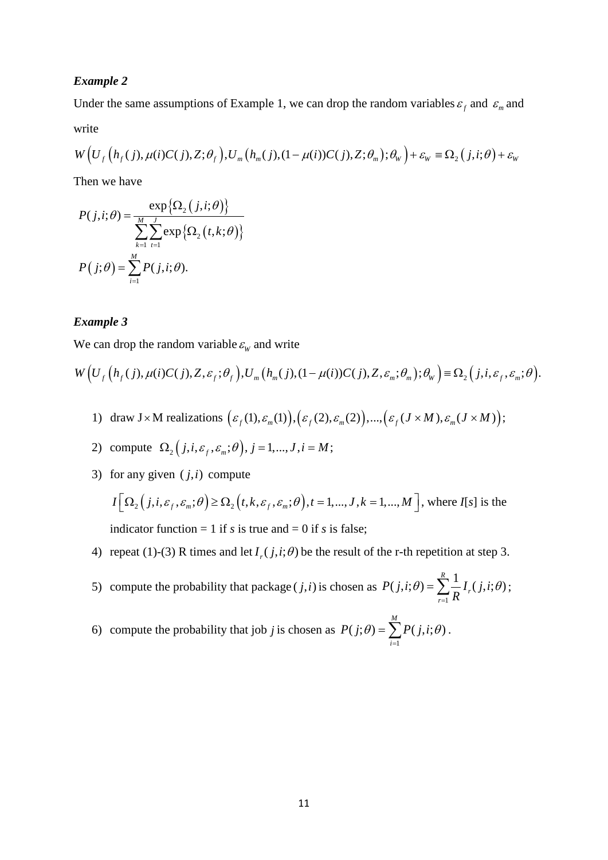#### *Example 2*

Under the same assumptions of Example 1, we can drop the random variables  $\varepsilon_f$  and  $\varepsilon_m$  and

write

$$
W\left(U_f\left(h_f(j),\mu(i)C(j),Z;\theta_f\right),U_m\left(h_m(j),(1-\mu(i))C(j),Z;\theta_m\right); \theta_W\right)+\varepsilon_W\equiv\Omega_2\left(j,i;\theta\right)+\varepsilon_W
$$

Then we have

$$
P(j,i;\theta) = \frac{\exp\{\Omega_2(j,i;\theta)\}}{\sum_{k=1}^{M} \sum_{t=1}^{J} \exp\{\Omega_2(t,k;\theta)\}}
$$

$$
P(j;\theta) = \sum_{i=1}^{M} P(j,i;\theta).
$$

#### *Example 3*

We can drop the random variable  $\varepsilon_w$  and write

$$
W\Big(U_f\Big(h_f(j),\mu(i)C(j),Z,\varepsilon_f;\theta_f\Big),U_m\Big(h_m(j),(1-\mu(i))C(j),Z,\varepsilon_m;\theta_m\Big);\theta_W\Big)\equiv\Omega_2\Big(j,i,\varepsilon_f,\varepsilon_m;\theta\Big).
$$

- 1) draw J×M realizations  $(\varepsilon_f(1), \varepsilon_m(1)), (\varepsilon_f(2), \varepsilon_m(2)), ..., (\varepsilon_f(J \times M), \varepsilon_m(J \times M));$
- 2) compute  $\Omega_2(j, i, \varepsilon_f, \varepsilon_m; \theta), j = 1, ..., J, i = M;$
- 3) for any given  $(j,i)$  compute

$$
I\Big[\Omega_2(j,i,\varepsilon_f,\varepsilon_m;\theta)\geq \Omega_2(t,k,\varepsilon_f,\varepsilon_m;\theta), t=1,\dots,J,k=1,\dots,M\Big]
$$
, where  $I[s]$  is the  
indicator function = 1 if s is true and = 0 if s is false;

- 4) repeat (1)-(3) R times and let  $I_r(j, i; \theta)$  be the result of the r-th repetition at step 3.
- 5) compute the probability that package  $(j,i)$  is chosen as 1  $(j, i; \theta) = \sum_{r=1}^{R} I_r(j, i; \theta)$ *r*  $P(j, i; \theta) = \sum_{r=1}^{n} \frac{1}{R} I_r(j, i; \theta)$  $=\sum_{r=1}^{1}\frac{I}{R}I_{r}(j,i;\theta);$
- 6) compute the probability that job  $j$  is chosen as 1  $(j; \theta) = \sum P(j, i; \theta)$ *M i*  $P(j; \theta) = \sum P(j, i; \theta)$  $=\sum_{i=1}P(j,i;\theta)$  .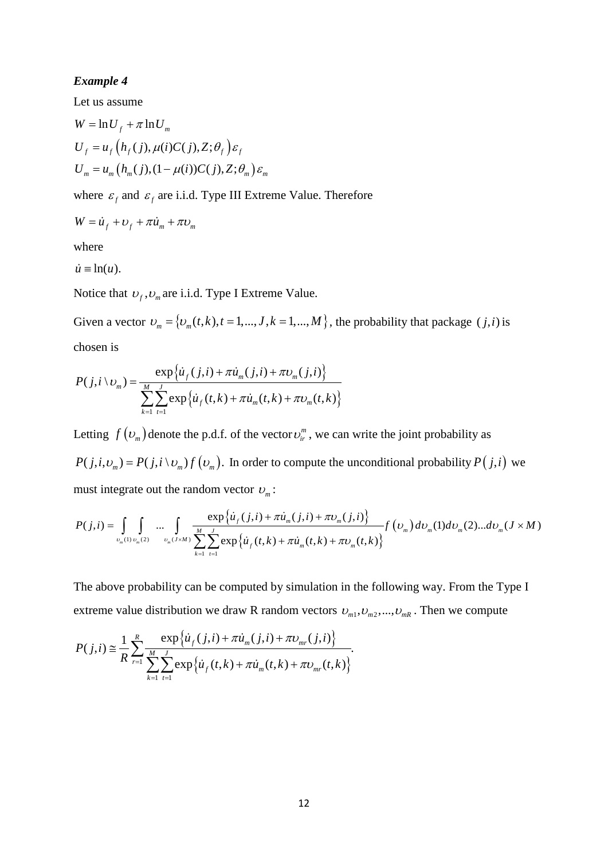#### *Example 4*

Let us assume

$$
W = \ln U_f + \pi \ln U_m
$$
  
\n
$$
U_f = u_f \left( h_f(j), \mu(i)C(j), Z; \theta_f \right) \varepsilon_f
$$
  
\n
$$
U_m = u_m \left( h_m(j), (1 - \mu(i))C(j), Z; \theta_m \right) \varepsilon_m
$$

where  $\varepsilon_f$  and  $\varepsilon_f$  are i.i.d. Type III Extreme Value. Therefore

$$
W = \dot{u}_f + v_f + \pi \dot{u}_m + \pi v_m
$$

where

$$
\dot{u} \equiv \ln(u).
$$

Notice that  $v_f$ ,  $v_m$  are i.i.d. Type I Extreme Value.

Given a vector  $v_m = \{v_m(t, k), t = 1, ..., J, k = 1, ..., M\}$ , the probability that package  $(j, i)$  is chosen is

$$
P(j,i \setminus \nu_m) = \frac{\exp\left\{\dot{u}_f(j,i) + \pi \dot{u}_m(j,i) + \pi \nu_m(j,i)\right\}}{\sum_{k=1}^M \sum_{t=1}^J \exp\left\{\dot{u}_f(t,k) + \pi \dot{u}_m(t,k) + \pi \nu_m(t,k)\right\}}
$$

Letting  $f(v_m)$  denote the p.d.f. of the vector  $v_m^m$ , we can write the joint probability as  $P(j, i, v_m) = P(j, i \setminus v_m) f(v_m)$ . In order to compute the unconditional probability  $P(j, i)$  we must integrate out the random vector  $v_m$ :

$$
P(j,i) = \int_{\nu_m(1)\nu_m(2)} \int_{\nu_m(J\times M)} \frac{\exp\{u_f(j,i) + \pi u_m(j,i) + \pi v_m(j,i)\}}{\sum_{k=1}^M \sum_{t=1}^J \exp\{u_f(t,k) + \pi u_m(t,k) + \pi v_m(t,k)\}} f(v_m) dv_m(1) dv_m(2)...dv_m(J\times M)
$$

The above probability can be computed by simulation in the following way. From the Type I extreme value distribution we draw R random vectors  $v_{m1}, v_{m2}, ..., v_{mR}$ . Then we compute

$$
P(j,i) \cong \frac{1}{R} \sum_{r=1}^{R} \frac{\exp\{u_f(j,i) + \pi u_m(j,i) + \pi v_{mr}(j,i)\}}{\sum_{k=1}^{M} \sum_{t=1}^{j} \exp\{u_f(t,k) + \pi u_m(t,k) + \pi v_{mr}(t,k)\}}.
$$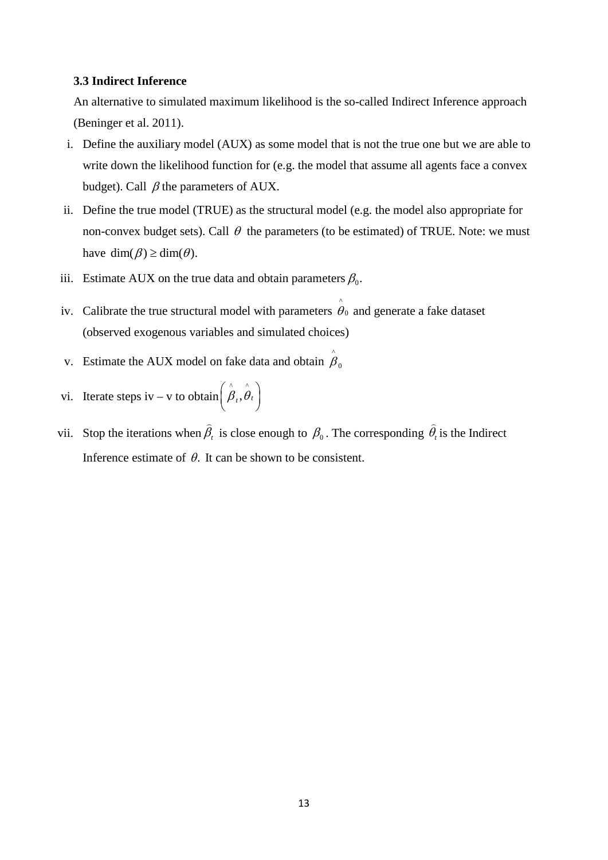#### **3.3 Indirect Inference**

An alternative to simulated maximum likelihood is the so-called Indirect Inference approach (Beninger et al. 2011).

- i. Define the auxiliary model (AUX) as some model that is not the true one but we are able to write down the likelihood function for (e.g. the model that assume all agents face a convex budget). Call  $\beta$  the parameters of AUX.
- ii. Define the true model (TRUE) as the structural model (e.g. the model also appropriate for non-convex budget sets). Call  $\theta$  the parameters (to be estimated) of TRUE. Note: we must have dim( $\beta$ )  $\geq$  dim( $\theta$ ).
- iii. Estimate AUX on the true data and obtain parameters  $\beta_0$ .
- iv. Calibrate the true structural model with parameters  $\hat{\theta}_0$  and generate a fake dataset (observed exogenous variables and simulated choices)
- v. Estimate the AUX model on fake data and obtain  $\hat{\beta}_0$
- vi. Iterate steps iv v to obtain $\left(\hat{\boldsymbol{\beta}}_t, \hat{\boldsymbol{\theta}}_t\right)$
- vii. Stop the iterations when  $\hat{\beta}_t$  is close enough to  $\beta_0$ . The corresponding  $\hat{\theta}_t$ is the Indirect Inference estimate of  $\theta$ . It can be shown to be consistent.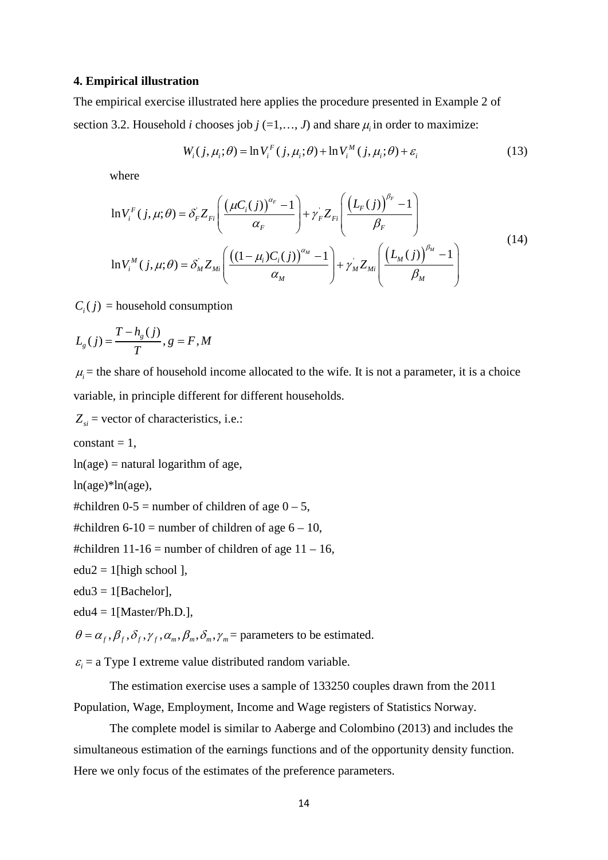#### **4. Empirical illustration**

The empirical exercise illustrated here applies the procedure presented in Example 2 of section 3.2. Household *i* chooses job  $j$  (=1,..., *J*) and share  $\mu_i$  in order to maximize:

$$
W_i(j, \mu_i; \theta) = \ln V_i^F(j, \mu_i; \theta) + \ln V_i^M(j, \mu_i; \theta) + \varepsilon_i
$$
\n(13)

where

$$
\ln V_i^F(j, \mu; \theta) = \delta_F^{\cdot} Z_{Fi} \left( \frac{(\mu C_i(j))^{\alpha_F} - 1}{\alpha_F} \right) + \gamma_F^{\cdot} Z_{Fi} \left( \frac{(L_F(j))^{\beta_F} - 1}{\beta_F} \right)
$$
  

$$
\ln V_i^M(j, \mu; \theta) = \delta_M^{\cdot} Z_{Mi} \left( \frac{((1 - \mu_i)C_i(j))^{\alpha_M} - 1}{\alpha_M} \right) + \gamma_M^{\cdot} Z_{Mi} \left( \frac{(L_M(j))^{\beta_M} - 1}{\beta_M} \right)
$$
 (14)

 $C_i(j)$  = household consumption

$$
L_g(j) = \frac{T - h_g(j)}{T}, g = F, M
$$

 $\mu_i$  = the share of household income allocated to the wife. It is not a parameter, it is a choice variable, in principle different for different households.

 $Z_{si}$  = vector of characteristics, i.e.:

constant  $= 1$ ,

 $ln(age) = natural logarithm of age$ ,

 $ln(age)*ln(age),$ 

#children 0-5 = number of children of age  $0 - 5$ ,

#children 6-10 = number of children of age  $6 - 10$ ,

#children 11-16 = number of children of age  $11 - 16$ ,

 $edu2 = 1$ [high school],

 $edu3 = 1$ [Bachelor],

 $edu4 = 1$ [Master/Ph.D.],

 $\theta = \alpha_f, \beta_f, \delta_f, \gamma_f, \alpha_m, \beta_m, \delta_m, \gamma_m$  = parameters to be estimated.

 $\varepsilon$ <sub>i</sub> = a Type I extreme value distributed random variable.

The estimation exercise uses a sample of 133250 couples drawn from the 2011 Population, Wage, Employment, Income and Wage registers of Statistics Norway.

The complete model is similar to Aaberge and Colombino (2013) and includes the simultaneous estimation of the earnings functions and of the opportunity density function. Here we only focus of the estimates of the preference parameters.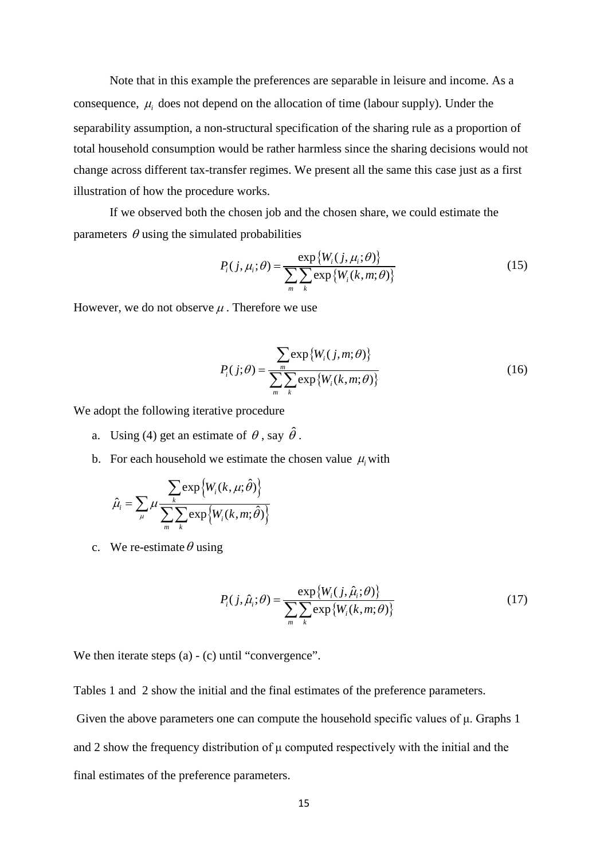Note that in this example the preferences are separable in leisure and income. As a consequence,  $\mu_i$  does not depend on the allocation of time (labour supply). Under the separability assumption, a non-structural specification of the sharing rule as a proportion of total household consumption would be rather harmless since the sharing decisions would not change across different tax-transfer regimes. We present all the same this case just as a first illustration of how the procedure works.

If we observed both the chosen job and the chosen share, we could estimate the parameters  $\theta$  using the simulated probabilities

$$
P_i(j, \mu_i; \theta) = \frac{\exp\{W_i(j, \mu_i; \theta)\}}{\sum_{m} \sum_{k} \exp\{W_i(k, m; \theta)\}}
$$
(15)

However, we do not observe  $\mu$ . Therefore we use

$$
P_i(j; \theta) = \frac{\sum_{m} \exp\{W_i(j, m; \theta)\}}{\sum_{m} \sum_{k} \exp\{W_i(k, m; \theta)\}}
$$
(16)

We adopt the following iterative procedure

- a. Using (4) get an estimate of  $\theta$ , say  $\hat{\theta}$ .
- b. For each household we estimate the chosen value  $\mu_i$  with

$$
\hat{\mu}_i = \sum_{\mu} \mu \frac{\sum_{k} \exp\{W_i(k, \mu; \hat{\theta})\}}{\sum_{m} \sum_{k} \exp\{W_i(k, m; \hat{\theta})\}}
$$

c. We re-estimate  $\theta$  using

$$
P_i(j, \hat{\mu}_i; \theta) = \frac{\exp\{W_i(j, \hat{\mu}_i; \theta)\}}{\sum_{m} \sum_{k} \exp\{W_i(k, m; \theta)\}}
$$
(17)

We then iterate steps (a) - (c) until "convergence".

Tables 1 and 2 show the initial and the final estimates of the preference parameters.

Given the above parameters one can compute the household specific values of μ. Graphs 1 and 2 show the frequency distribution of  $\mu$  computed respectively with the initial and the final estimates of the preference parameters.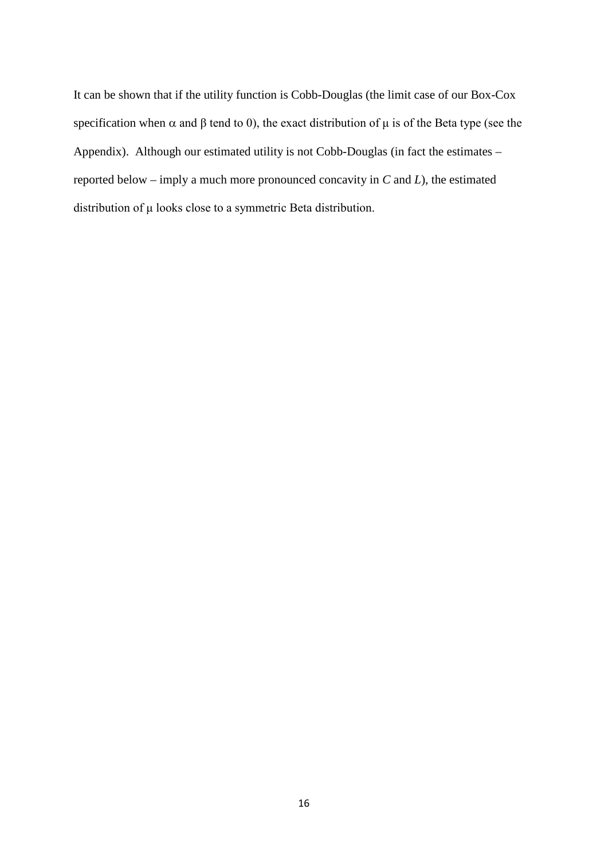It can be shown that if the utility function is Cobb-Douglas (the limit case of our Box-Cox specification when  $\alpha$  and  $\beta$  tend to 0), the exact distribution of  $\mu$  is of the Beta type (see the Appendix). Although our estimated utility is not Cobb-Douglas (in fact the estimates – reported below – imply a much more pronounced concavity in *C* and *L*), the estimated distribution of μ looks close to a symmetric Beta distribution.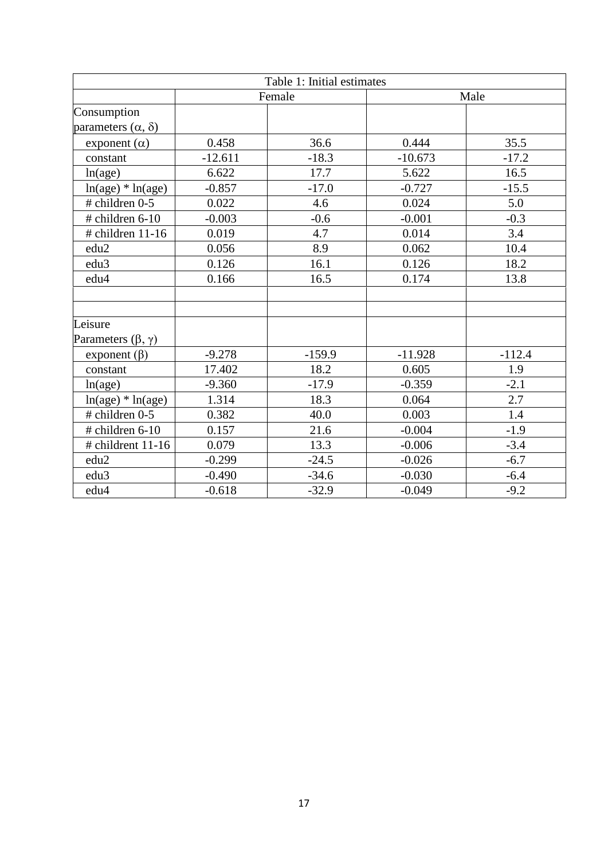|                               |           | Table 1: Initial estimates |           |          |
|-------------------------------|-----------|----------------------------|-----------|----------|
|                               | Female    |                            | Male      |          |
| Consumption                   |           |                            |           |          |
| parameters $(\alpha, \delta)$ |           |                            |           |          |
| exponent $(\alpha)$           | 0.458     | 36.6                       | 0.444     | 35.5     |
| constant                      | $-12.611$ | $-18.3$                    | $-10.673$ | $-17.2$  |
| ln(age)                       | 6.622     | 17.7                       | 5.622     | 16.5     |
| $ln(age) * ln(age)$           | $-0.857$  | $-17.0$                    | $-0.727$  | $-15.5$  |
| $#$ children 0-5              | 0.022     | 4.6                        | 0.024     | 5.0      |
| $#$ children 6-10             | $-0.003$  | $-0.6$                     | $-0.001$  | $-0.3$   |
| $#$ children 11-16            | 0.019     | 4.7                        | 0.014     | 3.4      |
| edu <sub>2</sub>              | 0.056     | 8.9                        | 0.062     | 10.4     |
| edu <sub>3</sub>              | 0.126     | 16.1                       | 0.126     | 18.2     |
| edu4                          | 0.166     | 16.5                       | 0.174     | 13.8     |
|                               |           |                            |           |          |
|                               |           |                            |           |          |
| Leisure                       |           |                            |           |          |
| Parameters $(\beta, \gamma)$  |           |                            |           |          |
| exponent $(\beta)$            | $-9.278$  | $-159.9$                   | $-11.928$ | $-112.4$ |
| constant                      | 17.402    | 18.2                       | 0.605     | 1.9      |
| ln(age)                       | $-9.360$  | $-17.9$                    | $-0.359$  | $-2.1$   |
| $ln(age) * ln(age)$           | 1.314     | 18.3                       | 0.064     | 2.7      |
| # children 0-5                | 0.382     | 40.0                       | 0.003     | 1.4      |
| $#$ children 6-10             | 0.157     | 21.6                       | $-0.004$  | $-1.9$   |
| $#$ childrent 11-16           | 0.079     | 13.3                       | $-0.006$  | $-3.4$   |
| edu <sub>2</sub>              | $-0.299$  | $-24.5$                    | $-0.026$  | $-6.7$   |
| edu <sub>3</sub>              | $-0.490$  | $-34.6$                    | $-0.030$  | $-6.4$   |
| edu4                          | $-0.618$  | $-32.9$                    | $-0.049$  | $-9.2$   |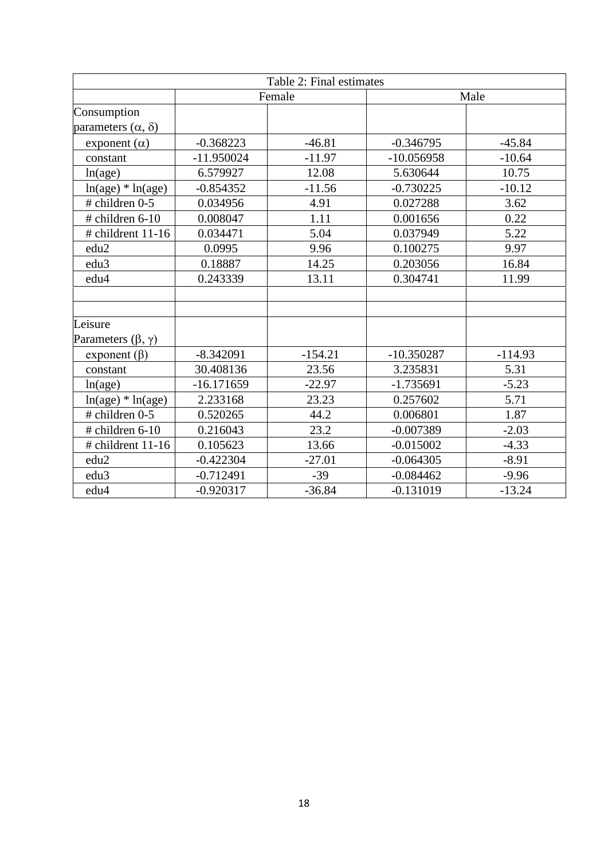| Table 2: Final estimates      |              |           |              |           |  |  |  |
|-------------------------------|--------------|-----------|--------------|-----------|--|--|--|
|                               | Female       |           | Male         |           |  |  |  |
| Consumption                   |              |           |              |           |  |  |  |
| parameters $(\alpha, \delta)$ |              |           |              |           |  |  |  |
| exponent $(\alpha)$           | $-0.368223$  | $-46.81$  | $-0.346795$  | $-45.84$  |  |  |  |
| constant                      | $-11.950024$ | $-11.97$  | $-10.056958$ | $-10.64$  |  |  |  |
| ln(age)                       | 6.579927     | 12.08     | 5.630644     | 10.75     |  |  |  |
| $ln(age) * ln(age)$           | $-0.854352$  | $-11.56$  | $-0.730225$  | $-10.12$  |  |  |  |
| # children 0-5                | 0.034956     | 4.91      | 0.027288     | 3.62      |  |  |  |
| $#$ children 6-10             | 0.008047     | 1.11      | 0.001656     | 0.22      |  |  |  |
| $#$ childrent 11-16           | 0.034471     | 5.04      | 0.037949     | 5.22      |  |  |  |
| edu <sub>2</sub>              | 0.0995       | 9.96      | 0.100275     | 9.97      |  |  |  |
| edu <sub>3</sub>              | 0.18887      | 14.25     | 0.203056     | 16.84     |  |  |  |
| edu4                          | 0.243339     | 13.11     | 0.304741     | 11.99     |  |  |  |
|                               |              |           |              |           |  |  |  |
|                               |              |           |              |           |  |  |  |
| Leisure                       |              |           |              |           |  |  |  |
| Parameters $(\beta, \gamma)$  |              |           |              |           |  |  |  |
| exponent $(\beta)$            | $-8.342091$  | $-154.21$ | $-10.350287$ | $-114.93$ |  |  |  |
| constant                      | 30.408136    | 23.56     | 3.235831     | 5.31      |  |  |  |
| ln(age)                       | $-16.171659$ | $-22.97$  | $-1.735691$  | $-5.23$   |  |  |  |
| $ln(age) * ln(age)$           | 2.233168     | 23.23     | 0.257602     | 5.71      |  |  |  |
| $#$ children 0-5              | 0.520265     | 44.2      | 0.006801     | 1.87      |  |  |  |
| $#$ children 6-10             | 0.216043     | 23.2      | $-0.007389$  | $-2.03$   |  |  |  |
| $#$ childrent 11-16           | 0.105623     | 13.66     | $-0.015002$  | $-4.33$   |  |  |  |
| edu <sub>2</sub>              | $-0.422304$  | $-27.01$  | $-0.064305$  | $-8.91$   |  |  |  |
| edu <sub>3</sub>              | $-0.712491$  | $-39$     | $-0.084462$  | $-9.96$   |  |  |  |
| edu4                          | $-0.920317$  | $-36.84$  | $-0.131019$  | $-13.24$  |  |  |  |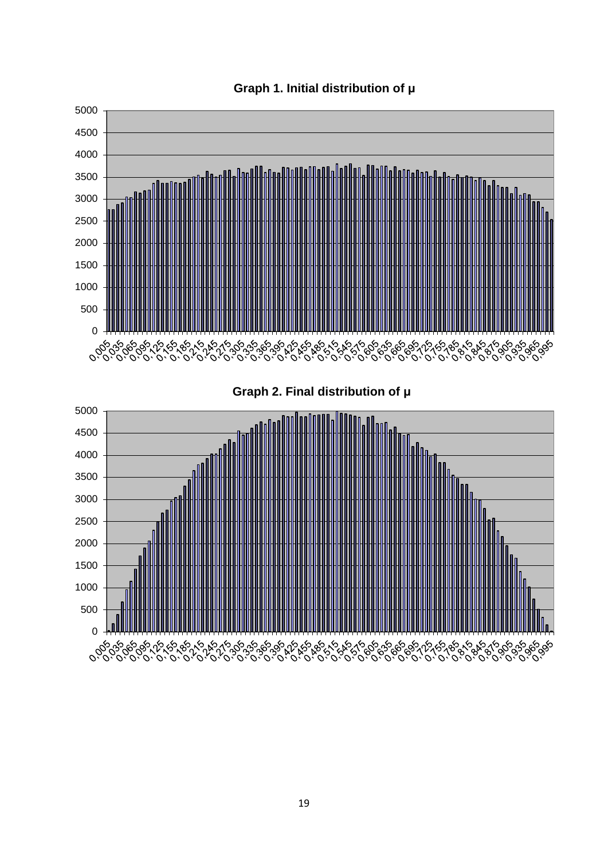

**Graph 1. Initial distribution of μ**

**Graph 2. Final distribution of μ**

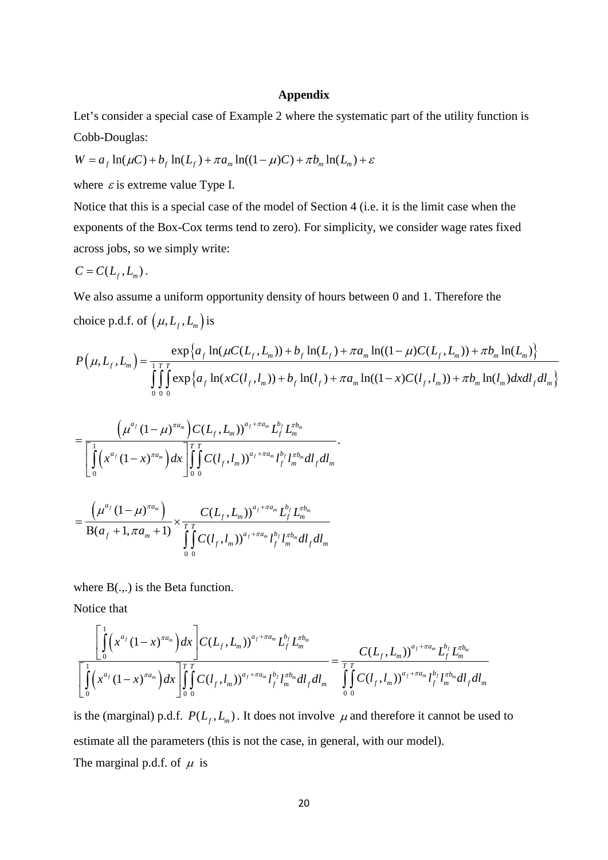#### **Appendix**

Let's consider a special case of Example 2 where the systematic part of the utility function is Cobb-Douglas:

$$
W = a_f \ln(\mu C) + b_f \ln(L_f) + \pi a_m \ln((1 - \mu)C) + \pi b_m \ln(L_m) + \varepsilon
$$

where  $\varepsilon$  is extreme value Type I.

Notice that this is a special case of the model of Section 4 (i.e. it is the limit case when the exponents of the Box-Cox terms tend to zero). For simplicity, we consider wage rates fixed across jobs, so we simply write:

$$
C=C(L_f,L_m).
$$

We also assume a uniform opportunity density of hours between 0 and 1. Therefore the choice p.d.f. of  $(\mu, L_f, L_m)$  is

$$
P(\mu, L_f, L_m) = \frac{\exp\left\{a_f \ln(\mu C(L_f, L_m)) + b_f \ln(L_f) + \pi a_m \ln((1 - \mu) C(L_f, L_m)) + \pi b_m \ln(L_m)\right\}}{\int_{0}^{T} \int_{0}^{\pi} \exp\left\{a_f \ln(x C(l_f, l_m)) + b_f \ln(l_f) + \pi a_m \ln((1 - x) C(l_f, l_m)) + \pi b_m \ln(l_m) dx dl_f dl_m\right\}}
$$

.

$$
=\frac{\left(\mu^{a_f}\left(1-\mu\right)^{\pi a_m}\right)C(L_f,L_m))^{a_f+\pi a_m}L_f^{b_f}L_m^{\pi b_m}}{\left[\int\limits_{0}^{1}\left(x^{a_f}\left(1-x\right)^{\pi a_m}\right)dx\right]\int\limits_{0}^{T}\int\limits_{0}^{T}C(l_f,l_m))^{a_f+\pi a_m}l_f^{b_f}l_m^{\pi b_m}dl_fdl_m}
$$

$$
=\frac{\left(\mu^{a_f}(1-\mu)^{\pi a_m}\right)}{\mathrm{B}(a_f+1,\pi a_m+1)}\times\frac{C(L_f,L_m))^{a_f+\pi a_m}L_f^{b_f}L_m^{\pi b_m}}{\int\limits_{0}^{\tau}\int\limits_{0}^{\tau}C(l_f,l_m))^{a_f+\pi a_m}l_f^{b_f}l_m^{\pi b_m}dl_fdl_m}
$$

where  $B(.,.)$  is the Beta function.

Notice that

$$
\frac{\left[\int_{0}^{1} (x^{a_f}(1-x)^{\pi a_m}) dx\right] C(L_f, L_m))^{a_f+\pi a_m} L_f^{b_f} L_m^{\pi b_m}}{\left[\int_{0}^{1} (x^{a_f}(1-x)^{\pi a_m}) dx\right] \left[\int_{0}^{T} C(l_f, l_m))^{a_f+\pi a_m} L_f^{b_f} L_m^{\pi b_m} dl_f dl_m} = \frac{C(L_f, L_m))^{a_f+\pi a_m} L_f^{b_f} L_m^{\pi b_m}}{\int_{0}^{T} C(l_f, l_m))^{a_f+\pi a_m} L_f^{b_f} L_m^{\pi b_m} dl_f dl_m}
$$

is the (marginal) p.d.f.  $P(L_f, L_m)$ . It does not involve  $\mu$  and therefore it cannot be used to estimate all the parameters (this is not the case, in general, with our model). The marginal p.d.f. of  $\mu$  is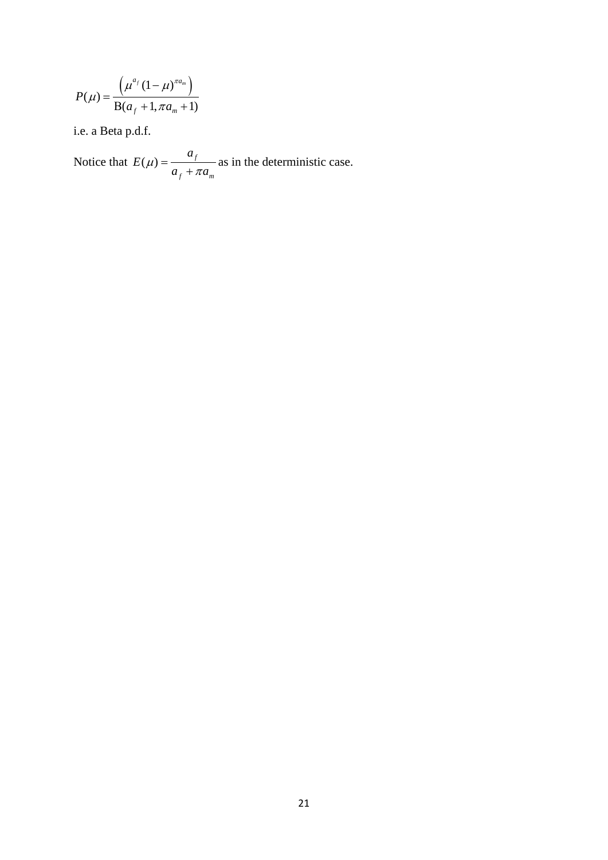$$
P(\mu) = \frac{\left(\mu^{a_f} (1 - \mu)^{\pi a_m}\right)}{B(a_f + 1, \pi a_m + 1)}
$$

i.e. a Beta p.d.f.

Notice that  $E(\mu) = \frac{a_j}{\sigma}$  $f \sim m_m$ *a E*  $\mu$ ) =  $\frac{a_f}{a_f + \pi a_m}$  as in the deterministic case.